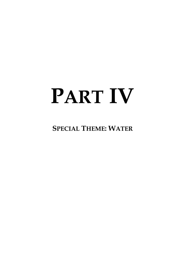# **PART IV**

**SPECIAL THEME: WATER**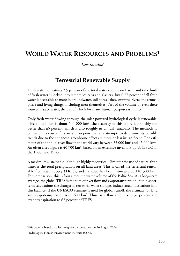# **WORLD WATER RESOURCES AND PROBLEMS1**

*Esko Kuusisto*<sup>2</sup>

## **Terrestrial Renewable Supply**

Fresh water constitutes 2.5 percent of the total water volume on Earth, and two thirds of fresh water is locked into remote ice caps and glaciers. Just 0.77 percent of all fresh water is accessible to man: in groundwater, soil pores, lakes, swamps, rivers, the atmosphere and living things, including men themselves. Part of the volume of even these sources is salty water, the use of which for many human purposes is limited.

Only fresh water flowing through the solar-powered hydrological cycle is renewable. This annual flux is about 500 000  $km^3$ ; the accuracy of this figure is probably not better than ±5 percent, which is also roughly its annual variability. The methods to estimate this crucial flux are still so poor that any attempts to determine its possible trends due to the enhanced greenhouse effect are more or less insignificant. The estimates of the annual river flow in the world vary between 35 000  $\text{km}^3$  and 45 000  $\text{km}^3$ . An often cited figure is  $40\,700\ \rm{km^3}$ , based on an extensive inventory by UNESCO in the 1960s and 1970s.

A maximum sustainable - although highly theoretical - limit for the use of natural fresh water is the total precipitation on all land areas. This is called the terrestrial renewable freshwater supply (TRFS), and its value has been estimated at  $110,300 \text{ km}^3$ . For comparison, this is four times the water volume of the Baltic Sea. As a long-term average, the global TRFS is the sum of river flow and evapotranspiration, but in shortterm calculations the changes in terrestrial water storages induce small fluctuations into this balance. If the UNESCO estimate is used for global runoff, the estimate for land area evapotranspiration is  $69600 \text{ km}^3$ . Thus river flow amounts to  $37$  percent and evapotranspiration to 63 percent of TRFS.

<sup>&</sup>lt;sup>1</sup> This paper is based on a lecture given by the author on 26 August 2004.

<sup>2</sup> Hydrologist, Finnish Environment Institute (SYKE).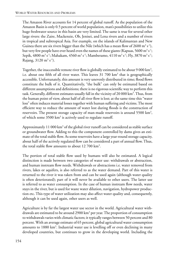The Amazon River accounts for 14 percent of global runoff. As the population of the Amazon Basin is only 0.5 percent of world population, man's possibilities to utilize this huge freshwater source in this basin are very limited. The same is true for several other large rivers: the Zaire, Mackenzie, Ob, Jenisei, and Lena rivers and a number of rivers in tropical and subtropical Asia. For example, on the islands of Kalimantan and New Guinea there are six rivers bigger than the Nile (which has a mean flow of 2600  $\text{m}^3\,\text{s}^{-1}$ ), but very few people have ever heard even the names of these giants (Kapuas, 5600 m $^3$  s $^{\text{-}1}$ ; Sepik, 4800 m<sup>3</sup> s<sup>-1</sup>; Mahakam, 4560 m<sup>3</sup> s<sup>-1</sup>; Mamberamo, 4110 m<sup>3</sup> s<sup>-1</sup>; Fly, 3870 m<sup>3</sup> s<sup>-1</sup>; Rajang, 3120 m<sup>3</sup> s<sup>-1</sup>).

Together, the inaccessible remote river flow is globally estimated to be about 9 000 km<sup>3</sup>, i.e. about one fifth of all river water. This leaves 31 700 km<sup>3</sup> that is geographically accessible. Unfortunately, this amount is very unevenly distributed in time; flood flows constitute the bulk of it. Quantitatively, "the bulk" can only be estimated based on different assumptions and definitions; there is no rigorous scientific way to perform this task. Generally, different estimates usually fall in the vicinity of 20 000 km<sup>3</sup>. Thus, from the human point of view, about half of all river flow is lost; at the same time this "water loss" often induces material losses together with human suffering and victims. The most efficient way to reduce the amount of water lost during floods is the construction of reservoirs. The present storage capacity of man-made reservoirs is around 5500  $\text{km}^3$ , of which some  $3500 \text{ km}^3$  is actively used to regulate runoff.

Approximately  $11000 \mathrm{km^3}$  of the global river runoff can be considered as stable surface or groundwater flow. Adding to this the component controlled by dams gives an estimate of the total stable flow. As some reservoirs have a large year-round storage capacity, about half of the actively regulated flow can be considered a part of annual flow. Thus, the total stable flow amounts to about  $12700 \text{ km}^3$ .

The portion of total stable flow used by humans will also be estimated. A logical distinction is made between two categories of water use: withdrawals or abstraction, and human instream flow needs. Withdrawals or abstractions i.e. water removed from rivers, lakes or aquifers, is also referred to as the water demand. Part of this water is returned to the river it was taken from and can be used again (although water quality is often deteriorated); part of it will never be available to other users. The latter use is referred to as water consumption. In the case of human instream flow needs, water stays in the river, but is used for waste water dilution, navigation, hydropower production etc. This type of water utilization may also affect water quality and, consequently, although it can be used again, other users as well.

Agriculture is by far the largest water use sector in the world. Agricultural water withdrawals are estimated to be around 2900 km<sup>3</sup> per year. The proportion of consumption to withdrawals varies with climatic factors; it typically ranges between 50 percent and 80 percent. With an average estimate of 65 percent, global agricultural water consumption amounts to 1880 km<sup>3</sup>. Industrial water use is levelling off or even declining in many developed countries, but continues to grow in the developing world. Including the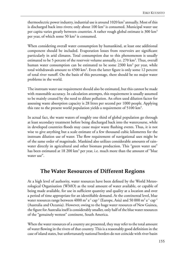thermoelectric power industry, industrial use is around 1020 km<sup>3</sup> annually. Most of this is discharged back into rivers; only about  $100 \text{ km}^3$  is consumed. Municipal water use per capita varies greatly between countries. A rather rough global estimate is  $300 \text{ km}^3$ per year, of which some 50 km<sup>3</sup> is consumed.

When considering overall water consumption by humankind, at least one additional component should be included. Evaporation losses from reservoirs are significant particularly in arid climates. Total consumption due to this phenomenon is usually estimated to be 5 percent of the reservoir volume annually, i.e. 270 km<sup>3</sup>. Thus, overall human water consumption can be estimated to be some 2300 km<sup>3</sup> per year, while total withdrawals amount to  $4500 \text{ km}^3$ . Even the latter figure is only some 12 percent of total river runoff. On the basis of this percentage, there should be no major water problems in the world.

The instream water use requirement should also be estimated, but this cannot be made with reasonable accuracy. In calculation attempts, this requirement is usually assumed to be mainly created by the need to dilute pollution. An often used dilution factor for assessing waste absorption capacity is 28 litres per second per 1000 people. Applying this rate to the present world population yields a requirement of 5100  $\text{km}^3$ .

In actual fact, the waste waters of roughly one third of global population go through at least secondary treatment before being discharged back into the watercourse, while in developed countries floods may cause major waste flushing events. Thus, it is not wise to give anything but a scale estimate of a few thousand cubic kilometres for the instream dilution use of water. The flow requirement of navigational uses might be of the same order of magnitude. Mankind also utilizes considerable amounts of rainwater directly in agricultural and other biomass production. This "green water use" has been estimated at 18 200 km<sup>3</sup> per year, i.e. much more than the amount of "blue water use".

## **The Water Resources of Different Regions**

At a high level of authority, water resources have been defined by the World Meteorological Organisation (WMO) as the total amount of water available, or capable of being made available, for use in sufficient quantity and quality at a location and over a period of time appropriate for an identifiable demand. At the continental level, blue water resources range between 4000 m $^3$  a $^{\text{-1}}$  cap $^{\text{-1}}$  (Europe, Asia) and 50 000 m $^3$  a $^{\text{-1}}$  cap $^{\text{-1}}$ (Australia and Oceania). However, owing to the huge water resources of New Guinea, the figure for Australia itself is considerably smaller, only half of the blue water resources of the "genuinely wettest" continent, South America.

When the water resources of a country are presented, they may refer to the total amount of water flowing in the rivers of that country. This is a reasonably good definition in the case of island states, but unfortunately national borders do not coincide with river basin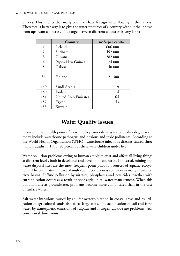divides. This implies that many countries have foreign water flowing in their rivers. Therefore, a better way is to give the water resources of a country without the inflows from upstream countries. The range between different countries is very large:

|     | Country              | $m^3/a$ per capita |
|-----|----------------------|--------------------|
| 1   | Iceland              | 606 000            |
| 2   | Surinam              | 452 000            |
| 3   | Guyana               | 282 000            |
| 4   | Papua New Guinea     | 174 000            |
| 5   | Gabon                | 140 000            |
|     |                      |                    |
| 34  | Finland              | 21 300             |
|     |                      |                    |
| 149 | Saudi Arabia         | 119                |
| 150 | Jordan               | 114                |
| 151 | United Arab Emirates | 64                 |
| 152 | Egypt                | 43                 |
| 153 | Kuwait               | 11                 |

# **Water Quality Issues**

From a human health point of view, the key issues driving water quality degradation today include waterborne pathogens and noxious and toxic pollutants. According to the World Health Organisation (WHO), waterborne infectious diseases caused three million deaths in 1995, 80 percent of these were children under five.

Water pollution problems owing to human activities exist and affect all living things at different levels, both in developed and developing countries. Industrial, mining and waste disposal sites are the most frequent point pollution sources of aquatic ecosystems. The cumulative impact of multi-point pollution is common in many urbanized river basins. Diffuse pollution by nitrates, phosphates and pesticides together with eutrophication occurs as a result of poor agricultural water management. When this pollution affects groundwater, problems become more complicated than in the case of surface waters.

Salt water intrusions caused by aquifer overexploitation in coastal areas and by irrigation of agricultural lands also affect large areas. The acidification of soil and fresh water by atmospheric emissions of sulphur and nitrogen dioxide are problems with continental dimensions.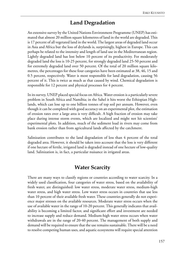## **Land Degradation**

An extensive survey by the United Nations Environment Programme (UNEP) has estimated that almost 20 million square kilometres of land in the world are degraded. This is 17 percent of all vegetated land in the world. The largest areas of degraded land occur in Asia and Africa but the loss of drylands is, surprisingly, highest in Europe. This can perhaps be related to the intensity and length of land use in the Mediterranean region. Lightly degraded land has lost below 10 percent of its productivity. For moderately degraded land the loss is 10-25 percent, for strongly degraded land 25-50 percent and for extremely degraded land over 50 percent. Of the total of 20 million square kilometres, the percentages for these four categories have been estimated at 38, 46, 15 and 0.5 percent, respectively. Water is most responsible for land degradation, causing 56 percent of it. This is twice as much as that caused by wind. Chemical degradation is responsible for 12 percent and physical processes for 4 percent.

In its survey, UNEP placed special focus on Africa. Water erosion is a particularly severe problem in South Africa and Namibia; in the Sahel it hits worst the Ethiopian Highlands, which can lose up to one billion tonnes of top soil per annum. However, even though it can be completed with good accuracy on an experimental plot, the estimation of erosion rates over a large area is very difficult. A high fraction of erosion may take place during intense storm events, which are localized and might not hit scientists' experimental plots. In addition, much of the sediment load in rivers may come from bank erosion rather than from agricultural lands affected by the catchment.

Salinization contributes to the land degradation of less than 4 percent of the total degraded area. However, it should be taken into account that the loss is very different if one hectare of fertile, irrigated land is degraded instead of one hectare of low-quality land. Salinization is, in fact, a particular nuisance in irrigated areas.

## **Water Scarcity**

There are many ways to classify regions or countries according to water scarcity. In a widely used classification, four categories of water stress, based on the availability of fresh water, are distinguished: low water stress, moderate water stress, medium-high water stress, and high water stress. Low water stress occurs in countries that use less than 10 percent of their available fresh water. These countries generally do not experience major stresses on the available resources. Moderate water stress occurs when the use of available water in the range of 10-20 percent. This generally indicates that availability is becoming a limited factor, and significant effort and investment are needed to increase supply and reduce demand. Medium-high water stress occurs when water withdrawals are in the range of 20-40 percent. The management of both supply and demand will be required to ensure that the use remains sustainable. There will be a need to resolve competing human uses, and aquatic ecosystems will require special attention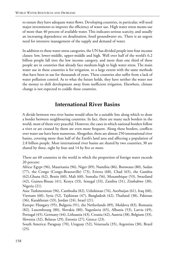to ensure they have adequate water flows. Developing countries, in particular, will need major investments to improve the efficiency of water use. High water stress means use of more than 40 percent of available water. This indicates serious scarcity, and usually an increasing dependence on desalination, fossil groundwater etc. There is an urgent need for intensive management of the supply and demand of water.

In addition to these water stress categories, the UN has divided people into four income classes: low, lower-middle, upper-middle and high. Well over half of the world's 6.2 billion people fall into the low income category, and more than one third of these people are in countries that already face medium-high to high water stress. The main water use in these countries is for irrigation, to a large extent with the same methods that have been in use for thousands of years. These countries also suffer from a lack of water pollution control. As to what the future holds, they have neither the water nor the money to shift development away from inefficient irrigation. Elsewhere, climate change is not expected to coddle these countries.

## **International River Basins**

A divide between two river basins would often be a suitable line along which to draw a border between neighbouring countries. In fact, there are many such borders in the world, most of them very peaceful. However, the cases in which national borders follow a river or are crossed by them are even more frequent. Along these borders, conflicts over water use have been numerous. Altogether, there are almost 250 international river basins, covering more than half of the Earth's land area and affecting a population of 2.8 billion people. Most international river basins are shared by two countries; 30 are shared by three, eight by four and 14 by five or more.

There are 60 countries in the world in which the proportion of foreign water exceeds 20 percent:

Africa: Egypt (96), Mauritania (96), Niger (89), Namibia (86), Botswana (80), Sudan (77), the Congo (Congo-Brazzaville) (73), Eritrea (68), Chad (65), the Gambia (62),Ghana (62), Benin (60), Mali (60), Somalia (56), Mozambique (53), Swaziland (42), Guinea-Bissau (41), Kenya (33), Senegal (33), Zambia (31), Zimbabwe (30), Nigeria (21).

Asia: Turkmenistan (96), Cambodia (82), Uzbekistan (76), Azerbaijan (61), Iraq (60), Vietnam (60), Syria (52), Tajikistan (47), Bangladesh (42), Thailand (38), Pakistan (36), Kazakhstan (33), Jordan (24), Israel (21).

Europe: Hungary (95), Bulgaria (91), the Netherlands (89), Moldova (83), Romania (82), Luxembourg (80), Slovakia (80), Yugoslavia (65), Albania (53), Latvia (49), Portugal (45), Germany (44), Lithuania (43), Croatia (42), Austria (38), Belgium (33), Slovenia (32), Belarus (29), Estonia (27), Greece (23).

South America: Paraguay (70), Uruguay (52), Venezuela (35), Argentina (30), Brazil (25).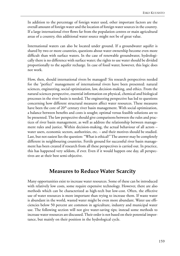In addition to the percentage of foreign water used, other important factors are the overall amount of foreign water and the location of foreign water sources in the country. If a large international river flows far from the population centres or main agricultural areas of a country, this additional water source might not be of great value.

International waters can also be located under ground. If a groundwater aquifer is shared by two or more countries, questions about water ownership become even more difficult than with surface waters. In the case of renewable groundwater, hydrologically there is no difference with surface water; the rights to use water should be divided proportionally to the aquifer recharge. In case of fossil water, however, this logic does not work.

How, then, should international rivers be managed? Six research perspectives needed for the "perfect" management of international rivers have been presented: natural sciences, engineering, social optimization, law, decision-making, and ethics. From the natural sciences perspective, essential information on physical, chemical and biological processes in the river basin is needed. The engineering perspective has led to questions concerning how different structural measures affect water resources. These measures have been the core of 20<sup>th</sup> century river basin management. With social optimization, a balance between benefits and costs is sought; optimal versus feasible solutions are to be presented. The law perspective should give comparisons between the rules and practices of river basin management, as well as address the relationship between management rules and justice. Within decision-making, the actual behaviour of all actors – water users, economic sectors, authorities, etc. – and their motives should be studied. Last, but not easiest lies the question: "What is ethical?" The answer may be completely different in neighbouring countries. Fertile ground for successful river basin management has been created if research from all these perspectives is carried out. In practice, this has happened very seldom, if ever. Even if it would happen one day, all perspectives are at their best semi-objective.

## **Measures to Reduce Water Scarcity**

Many opportunities exist to increase water resources. Some of these can be introduced with relatively low costs, some require expensive technology. However, there are also methods which can be characterized as high-tech but low-cost. Often, the effective use of water resources is more important than trying to increase them. If waste water is abundant in the world, wasted water might be even more abundant. Water use efficiencies below 50 percent are common in agriculture, industry and municipal water use. The following section will not give water-saving tips; instead some methods to increase water resources are discussed. Their order is not based on their potential importance, but mainly on their position in the hydrological cycle.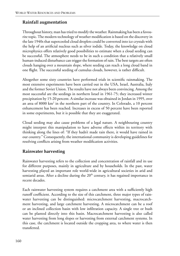#### **Rainfall augmentation**

Throughout history, man has tried to modify the weather. Rainmaking has been a favourite topic. The modern technology of weather modification is based on the discovery in the late 1940s that supercooled cloud droplets could be converted into ice crystals with the help of an artificial nucleus such as silver iodide. Today, the knowledge on cloud microphysics offers relatively good possibilities to estimate when a cloud seeding can be successful. The atmosphere needs to be in such a condition that a relatively small human-induced disturbance can trigger the formation of rain. The best targets are often clouds hanging over a mountain slope, where seeding can reach a long cloud band in one flight. The successful seeding of cumulus clouds, however, is rather difficult.

Altogether some sixty countries have performed trials in scientific rainmaking. The most extensive experiments have been carried out in the USA, Israel, Australia, Italy and the former Soviet Union. The results have not always been convincing. Among the most successful are the seedings in northern Israel in 1961-75; they increased winter precipitation by 15-20 percent. A similar increase was obtained in Jordan in 1995, over an area of 8000 km<sup>2</sup> in the northern part of the country. In Colorado, a 10 percent enhancement has been reached. Increases in excess of 50 percent have been reported in some experiments, but it is possible that they are exaggerated.

Cloud seeding may also cause problems of a legal nature. A neighbouring country might interpret this manipulation to have adverse effects within its territory with thinking along the lines of: "If they hadn't made rain there, it would have rained in our country." Consequently, the international community is developing guidelines for resolving conflicts arising from weather modification activities.

#### **Rainwater harvesting**

Rainwater harvesting refers to the collection and concentration of rainfall and its use for different purposes, mainly in agriculture and by households. In the past, water harvesting played an important role world-wide in agricultural societies in arid and semiarid areas. After a decline during the  $20<sup>th</sup>$  century, it has regained importance in recent decades.

Each rainwater harvesting system requires a catchment area with a sufficiently high runoff coefficient. According to the size of this catchment, three major types of rainwater harvesting can be distinguished: microcatchment harvesting, macrocatchment harvesting, and large catchment harvesting. A microcatchment can be a roof or an inclined collection basin with low infiltration capacity. A single tree or bush can be planted directly into this basin. Macrocatchment harvesting is also called water harvesting from long slopes or harvesting from external catchment systems. In this case, the catchment is located outside the cropping area, to where water is then transferred.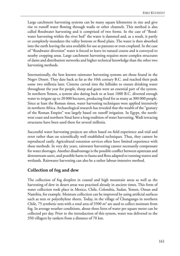Large catchment harvesting systems can be many square kilometres in size and give rise to runoff water flowing through wadis or other channels. This method is also called floodwater harvesting and is comprised of two forms. In the case of "floodwater harvesting within the river bed" the water is dammed and, as a result, it partly or completely inundates the valley bottom or flood plain. The water is then absorbed into the earth leaving the area available for use as pastures or even cropland. In the case of "floodwater diversion" water is forced to leave its natural course and is conveyed to nearby cropping areas. Large catchment harvesting requires more complex structures of dams and distribution networks and higher technical knowledge than the other two harvesting methods.

Internationally, the best known rainwater harvesting systems are those found in the Negev Desert. They date back as far as the 10th century B.C. and reached their peak some two millenia later. Cisterns carved into the hillsides to ensure drinking water throughout the year for people, sheep and goats were an essential part of the system. In northern Yemen, a system also dating back to at least 1000 B.C. diverted enough water to irrigate up to 20 000 hectares, producing food for as many as 300 000 people. Since at least the Roman times, water harvesting techniques were applied intensively in northern Africa. Archaeological research has revealed that the wealth of the "granary of the Roman Empire" was largely based on runoff irrigation. In Egypt, the northwest coast and northern Sinai have a long tradition of water harvesting. Wadi terracing structures have been used there for several millenia.

Successful water harvesting projects are often based on field experience and trial and error rather than on scientifically well established techniques. Thus, they cannot be reproduced easily. Agricultural extension services often have limited experience with these methods. In very dry years, rainwater harvesting cannot necessarily compensate for water shortages. Another disadvantage is the possible conflict between upstream and downstream users, and possible harm to fauna and flora adapted to running waters and wetlands. Rainwater harvesting can also be a rather labour-intensive method.

#### **Collection of fog and dew**

The collection of fog droplets in coastal and high mountain areas as well as the harvesting of dew in desert areas was practised already in ancient times. This form of water collection took place in Mexico, Chile, Colombia, Sudan, Yemen, Oman and Namibia, for example. Moisture collection can be improved by using artificial surfaces such as nets or polyethylene sheets. Today, in the village of Chungungo in northern Chile, 75 synthetic nets with a total area of  $3500 \text{ m}^2$  are used to collect moisture from fog. In average weather conditions, about three litres of water per square metre can be collected per day. Prior to the introduction of this system, water was delivered to the 350 villagers by tankers from a distance of 70 km.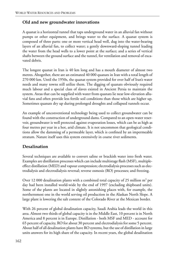#### **Old and new groundwater innovations**

A quanat is a horizontal tunnel that taps underground water in an alluvial fan without pumps or other equipment, and brings water to the surface. A quanat system is composed of three parts: one or more vertical head well, dug into the water-bearing layers of an alluvial fan, to collect water; a gently downward-sloping tunnel leading the water from the head wells to a lower point at the surface; and a series of vertical shafts between the ground surface and the tunnel, for ventilation and removal of excavated debris.

The longest quanat in Iran is 40 km long and has a mouth diameter of almost two metres. Altogether, there are an estimated 40 000 quanats in Iran with a total length of 270 000 km. Until the 1950s, the quanat system provided for over half of Iran's water needs and many towns still utilize them. The digging of quanats obviously required much labour and a special class of slaves existed in Ancient Persia to maintain the system. Areas that can be supplied with water from quanats lie near low-elevation alluvial fans and often provide less fertile soil conditions than those which are higher up. Sometimes quanats dry up during prolonged droughts and collapsed tunnels occur.

An example of unconventional technology being used to collect groundwater can be found with the construction of underground dams. Compared to an open-water reservoir, groundwater is well protected against evaporation losses, which can be as high as four metres per year in a hot, arid climate. It is not uncommon that geological conditions allow the damming of a permeable layer, which is confined by an impermeable stratum. Nature itself uses this system extensively in coarse river sediments.

#### **Desalination**

Several techniques are available to convert saline or brackish water into fresh water. Examples are distillation processes which can include multistage flash (MSF), multipleeffect distillation (MED) and vapour compression; electrodialysis processes such as electrodialysis and electrodialysis reversal; reverse osmosis (RO) processes; and freezing.

Over 12 000 desalination plants with a combined total capacity of 25 million  $m^3$  per day had been installed world-wide by the end of 1997 (excluding shipboard units). Some of the plants are located in slightly astonishing places with, for example, the northernmost one in the world serving oil production in the Alaskan North Slope. A large plant is lowering the salt content of the Colorado River at the Mexican border.

With 26 percent of global desalination capacity, Saudi Arabia leads the world in this area. Almost two thirds of global capacity is in the Middle East, 10 percent is in North America and 8 percent is in Europe. Distillation - both MSF and MED - account for 65 percent of capacity, RO for about 30 percent and electrodialysis for some 5 percent. About half of all desalination plants have RO systems, but the use of distillation in large units answers for its high share of the capacity. In recent years, the global desalination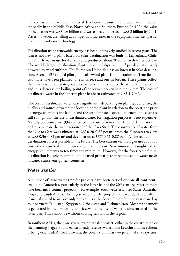market has been driven by industrial development, tourism and population increase, especially in the Middle East, North Africa and Southern Europe. In 1996 the value of the market was US\$ 1.6 billion and was expected to exceed US\$ 2 billion by 2001. Prices, however, are falling as competition increases in the equipment market, particularly in membrane technology.

Desalination using renewable energy has been intensively studied in recent years. The idea is not new; a plant based on solar desalination was built in Las Salinas, Chile, in 1872. It was in use for 40 years and produced about 20  $m<sup>3</sup>$  of fresh water per day. The world's largest desalination plant is now in Libya (2000  $m^3$  per day); it is partly powered by wind turbines. The European Union also has an interest in solar desalination. A small EU-funded pilot joint solar/wind plant is in operation on Tenerife and two more have been planned, one in Greece and one in Jordan. These plants collect the sun's rays to heat water, but also use windmills to reduce the atmospheric pressure and thus decrease the boiling point of the seawater taken into the system. The cost of desalinated water in the Tenerife plant has been estimated at US\$  $1.9/m<sup>3</sup>$ .

The cost of desalinated water varies significantly depending on plant type and size, the quality and source of water, the location of the plant in relation to the coast, the price of energy, chemicals and labour, and the cost of waste disposal. In general, the costs are still so high that the use of desalinated water for irrigation purposes is too expensive. A study performed in 1994 compared the costs of water transfer and desalination in order to increase the water resources of the Gaza Strip. The conveyance of water from the Nile to Gaza was estimated at US\$ 0.20-0.82 per  $m^3$ , from the Euphrates to Gaza at US\$ 0.36-0.82 per m<sup>3</sup> and desalination at US\$ 0.61-0.87 per m<sup>3</sup>. The reduction of desalination costs is possible in the future. The best current technologies use about 30 times the theoretical minimum energy requirement. New innovations might reduce energy requirements to ten times the minimum. However, for the foreseeable future, desalination is likely to continue to be used primarily to meet household water needs in water-scarce, energy-rich countries.

#### **Water transfer**

A number of large water transfer projects have been carried out on all continents, excluding Antarctica, particularly in the latter half of the  $20<sup>th</sup>$  century. Most of them have been intra-country projects in, for example, Southwestern United States, Australia, Libya and Saudi Arabia. The largest water transfer project in the world, the Kara-Kum Canal, also used to involve only one country, the Soviet Union, but today is shared by four partners: Tajikistan, Kyrgystan, Uzbekistan and Turkmenistan. Most of the runoff is generated in the first two countries, while the use of water is concentrated in the latter pair. This cannot be without causing tension in the region.

In southern Africa, there are several water transfer projects either in the construction or the planning stages. South Africa already receives water from Lesotho and the scheme is being extended. As for Botswana, the country only has two perennial river systems,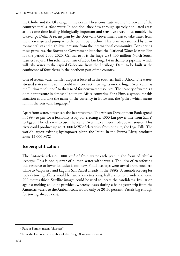the Chobe and the Okavango in the north. These constitute around 95 percent of the country's total surface water. In addition, they flow through sparsely populated areas at the same time feeding biologically important and sensitive areas, most notably the Okavango Delta. A recent plan by the Botswana Government was to take water from the Okavango and pump it to the South by pipeline. This plan was stopped by environmentalists and high-level pressure from the international community. Considering these pressures, the Botswana Government launched the National Water Master Plan for the period 2000-2020. Central to it is the huge US\$ 400 million North-South Carrier Project. This scheme consists of a 360 km long, 1.4 m diameter pipeline, which will take water to the capital Gaborone from the Letsibogo Dam, to be built at the confluence of four rivers in the northern part of the country.

One of several water transfer utopias is located in the southern half of Africa. The waterstressed states in the south could in theory set their sights on the huge River Zaire, as the "ultimate solution" to their need for new water resources. The scarcity of water is a dominant feature in almost all southern Africa countries. For a Finn, a symbol for this situation could take the name of the currency in Botswana, the "pula", which means rain in the Setswana language.<sup>3</sup>

Apart from water, power can also be transferred. The African Development Bank agreed in 1993 to pay for a feasibility study for erecting a 4000 km power line from Zaire<sup>4</sup> to Egypt. The idea was to turn the Zaire River into a major hydropower source. This river could produce up to 20 000 MW of electricity from one site, the Inga Falls. The world's largest existing hydropower plant, the Itaipu in the Parana River, produces some 12 000 MW.

#### **Iceberg utilization**

The Antarctic releases 1000 km<sup>3</sup> of fresh water each year in the form of tabular icebergs. This is one quarter of human water withdrawals. The idea of transferring this resource to lower latitudes is not new. Small icebergs were towed from southern Chile to Valparaiso and Laguna San Rafael already in the 1880s. A suitable iceberg for today's towing efforts would be two kilometres long, half a kilometre wide and some 200 metres thick. Satellite images could be used to locate the candidates. Insulation against melting could be provided, whereby losses during a half a year's trip from the Antarctic waters to the Arabian coast would only be 20-30 percent. Vessels big enough for towing already exist.

<sup>&</sup>lt;sup>3</sup> Pula in Finnish means "shortage".

<sup>&</sup>lt;sup>4</sup> Now the Democratic Republic of the Congo (Congo-Kinshasa).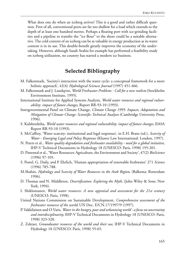What does one do when an iceberg arrives? This is a good and rather difficult question. First of all, conventional ports are far too shallow for a load which extends to the depth of at least one hundred metres. Perhaps a floating port with ice-grinding facilities and a pipeline to transfer the "ice flour" to the shore could be a suitable alternative. The cold content of an iceberg can be as valuable in energy production as its water content is in its use. This double-benefit greatly improves the economy of the undertaking. However, although Saudi Arabia for example has performed a feasibility study on iceberg utilization, no country has started a modern ice business.

## **Selected Bibliography**

- M. Falkenmark, 'Society's interaction with the water cycle: a conceptual framework for a more holistic approach', 42(4) *Hydrological Sciences Journal* (1997) 451-466.
- M. Falkenmark and J. Lundqvist, *World Freshwater Problems Call for a new realism* (Stockholm Environment Institute, 1995).
- International Institute for Applied Systems Analysis, *World water resources and regional vulnerability: impact of future changes*, Report RR-93-10 (1993).
- Intergovernmental Panel on Climate Change, *Climate Change 1995: Impacts, Adaptations and Mitigation of Climate Change: Scientific-Technical Analyses* (Cambridge University Press, 1996).
- S. Kulshreshtha, *World water resources and regional vulnerability: impact of future changes*, IIASA Report RR-93-10 (1993).
- S. McCaffrey, 'Water scarcity: institutional and legal responses', in E.H. Brans (ed.), *Scarcity of Water - Emerging Legal and Policy Responses* (Kluwer Law International: London, 1997).
- N. Peters et al., *Water quality degradation and freshwater availability need for a global initiative*, IHP-V Technical Documents in Hydrology 18 (UNESCO: Paris, 1998) 195-201.
- D. Pimental et al., 'Water Resources: Agriculture, the Environment and Society', 47(2) *BioScience* (1996) 97-105.
- S. Postel, G. Daily, and P. Ehrlich, 'Human appropriation of renewable freshwater' 271 *Science* (1996) 785-788.
- M.Shahin, *Hydrology and Scarcity of Water Resources in the Arab Region*, (Balkema: Rotterdam 1996).
- D. Thomas and N. Middleton, *Desertification: Exploring the Myth*, (John Wiley & Sons: New York, 1994).
- I. Shiklomanov, *World water resources: A new appraisal and assessment for the 21st century* (UNESCO: Paris, 1998).
- United Nations Commission on Sustainable Development, *Comprehensive assessment of the freshwater resources of the world*, UN Doc. E/CN.17/1997/9 (1997).
- P. Vakkilainen and O.Varis, *Water in the hungry, poor and urbanizing world a focus on uncertainty and interdisciplinarity*, IHP-V Technical Documents in Hydrology 18 (UNESCO: Paris, 1998) 323-328.
- Z. Zektser, *Groundwater resources of the world and their use*, IHP-V Technical Documents in Hydrology 18 (UNESCO: Paris, 1998) 55-65.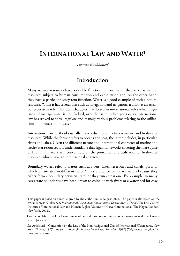# **INTERNATIONAL LAW AND WATER1**

*Tuomas Kuokkanen*<sup>2</sup>

#### **Introduction**

Many natural resources have a double function: on one hand, they serve as natural resources subject to human consumption and exploitation and, on the other hand, they have a particular ecosystem function. Water is a good example of such a natural resource. While it has several uses such as navigation and irrigation, it also has an essential ecosystem role. This dual character is reflected in international rules which regulate and manage water issues. Indeed, over the last hundred years or so, international law has strived to solve, regulate and manage various problems relating to the utilization and protection of water.

International law textbooks usually make a distinction between marine and freshwater resources. While the former refers to oceans and seas, the latter includes, in particular, rivers and lakes. Given the different nature and international character of marine and freshwater resources it is understandable that legal frameworks covering them are quite different. This work will concentrate on the protection and utilization of freshwater resources which have an international character.

Boundary waters refer to waters such as rivers, lakes, reservoirs and canals, parts of which are situated in different states. $3$  They are called boundary waters because they either form a boundary between states or they run across one. For example, in many cases state boundaries have been drawn to coincide with rivers or a watershed for easy

<sup>&</sup>lt;sup>1</sup> This paper is based on a lecture given by the author on 26 August 2004. The paper is also based on the work: Tuomas Kuokkanen, *International Law and the Environment: Variations on a Theme*, The Erik Castrén Institute of International Law and Human Rights, Volume 4 (Kluwer International: The Hague/London/ New York, 2002).

<sup>2</sup> Counsellor, Ministry of the Environment of Finland; Professor of International Environmental Law, University of Joensuu.

<sup>3</sup> See Article 2(b), Convention on the Law of the Non-navigational Uses of International Watercourse, New York, 21 May 1997, not yet in force, 36 *International Legal Materials* (1997) 700, www.un.org/law/ilc/ texts/nonnav.htm.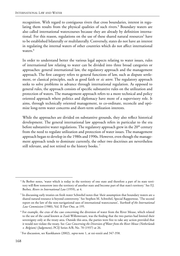recognition. With regard to contiguous rivers that cross boundaries, interest in regulating them results from the physical qualities of such rivers.<sup>4</sup> Boundary waters are also called international watercourses because they are already by definition international. For this reason, regulations on the use of these shared natural resources<sup>5</sup> have to be established bilaterally or multilaterally. Conversely, states do not have an interest in regulating the internal waters of other countries which do not affect international waters.<sup>6</sup>

In order to understand better the various legal aspects relating to water issues, rules of international law relating to water can be divided into three broad categories or approaches: general international law, the regulatory approach and the management approach. The first category refers to general functions of law, such as dispute settlement, or classical principles, such as good faith or *sic utere*. The regulatory approach seeks to solve problems in advance through international regulation. As opposed to general rules, the approach consists of specific substantive rules on the utilization and protection of waters. The management approach refers to a more technical and policy oriented approach where politics and diplomacy have more of a supervisory role. It aims, through technically oriented management, to co-ordinate, reconcile and optimize long-term water concerns and short-term utilization interests.

While the approaches are divided on substantive grounds, they also reflect historical development. The general international law approach refers in particular to the era before substantive water regulations. The regulatory approach grew in the  $20<sup>th</sup>$  century from the need to regulate utilization and protection of water issues. The management approach began to develop in the 1980s and 1990s. However, even though the management approach tends to dominate currently, the other two doctrines are nevertheless still relevant, and not retired to the history books. 7

<sup>4</sup> As Berber notes, 'water which is today in the territory of one state and therefore a part of its state territory will flow tomorrow into the territory of another state and become part of that state's territory.' See F.J. Berber, *Rivers in International Law* (1959), at 4.

<sup>&</sup>lt;sup>5</sup> In discussing early treaties on fresh water Schwebel notes that 'their assumption that boundary waters are a shared natural resource is beyond controversy.' See Stephen M. Schwebel, Special Rapporteur, 'The second report on the law of the non-navigational uses of international watercourses', *Yearbook of the International Law Commission* (1980), Vol. II Part One, at 195.

<sup>6</sup> For example, the crux of the case concerning the diversion of water from the River Meuse, which related to the use of the canal known as Zuid-Willemsvaart, was the finding that the two parties had limited their sovereignty only at the treaty area. Outside this area, the parties were free to take any action provided that it would not violate the treaty. See *Case Concerning the Diversion of Water from the River Meuse (Netherlands v. Belgium) (Judgement)*, PCIJ Series A/B, No. 70 (1937) at 26.

<sup>7</sup> For discussion, see Kuokkanen (2002), *supra* note 1, at xxi-xxxiii and 347-358.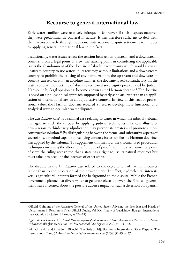## **Recourse to general international law**

Early water conflicts were relatively infrequent. Moreover, if such disputes occurred they were predominantly bilateral in nature. It was therefore sufficient to deal with them retrospectively through traditional international dispute settlement techniques by applying general international law to the facts.

Traditionally, water issues reflect the tension between an upstream and a downstream country. From a legal point of view, the starting point in considering the applicable law is the abandonment of the doctrine of absolute sovereignty which would allow an upstream country to use waters in its territory without limitations and a downstream country to prohibit the causing of any harm. As both the upstream and downstream country can rely on it in an absolute manner, the doctrine is self-contradictory. In the water context, the doctrine of absolute territorial sovereignty propounded by Judson Harmon in his legal opinion has become known as the Harmon doctrine.<sup>8</sup> The doctrine is based on a philosophical approach supported by early scholars, rather than an application of international law in an adjudicative context. In view of this lack of professional value, the Harmon doctrine revealed a need to develop more functional and analytical ways to deal with water disputes.

The *Lac Lanoux* case<sup>9</sup> is a seminal case relating to water in which the arbitral tribunal managed to settle the dispute by applying judicial techniques. The case illustrates how a resort to third-party adjudication may prevent stalemates and promote a more constructive solution.10 By distinguishing between the formal and substantive aspects of sovereignty, a method capable of resolving concrete issues, unlike the Harmon doctrine, was applied by the tribunal. To supplement this method, the tribunal used procedural techniques involving the allocation of burden of proof. From the environmental point of view, the ruling recognized that a state has a right to use its natural resources but must take into account the interests of other states.

The dispute in the *Lac Lanoux* case related to the exploitation of natural resources rather than to the protection of the environment. In effect, hydroelectric interests versus agricultural interests formed the background to the dispute. While the French government planned to divert water to generate electric power, the Spanish government was concerned about the possible adverse impact of such a diversion on Spanish

<sup>8</sup> Official Opinions of the Attorneys-General of the United States, Advising the President and Heads of Departments in Relation to Their Official Duties, Vol. XXI, Treaty of Guadalupe Hidalgo - International Law, Opinion by Judson Harmon, at 274-283.

<sup>9</sup> *Affaire du Lac Lanoux*, XII *United Nations Reports of International Arbitral Awards*, at 285-317; *Lake Lanoux Arbitration* (English translation) 24 *International Law Reports* (1957), at 105-142.

<sup>&</sup>lt;sup>10</sup> John G. Laylin and Rinaldo L. Bianchi, 'The Rôle of Adjudication in International River Disputes. The Lake Lanoux Case', 53 *American Journal of International Law* (1959) 30-49, at 37.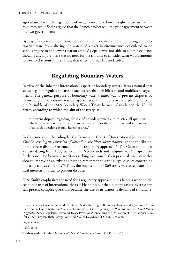agriculture. From the legal point of view, France relied on its right to use its natural resources, while Spain argued that the French project required prior agreement between the two governments.

By way of a dictum, the tribunal stated that there existed a rule prohibiting an upper riparian state from altering the waters of a river in circumstances calculated to do serious injury to the lower riparian state. As Spain was not able to submit evidence showing any injury there was no need for the tribunal to consider what would amount to so-called serious injury. Thus, that threshold was left undecided.

## **Regulating Boundary Waters**

In view of the inherent international aspect of boundary waters, it was natural that states began to regulate the use of such waters through bilateral and multilateral agreements. The general purpose of boundary water treaties was to prevent disputes by reconciling the various interests of riparian states. This objective is explicitly stated in the Preamble of the 1909 Boundary Waters Treaty between Canada and the United States, according to which the aim of the treaty is:

to prevent disputes regarding the use of boundary waters and to settle all questions which are now pending . . . and to make provision for the adjustment and settlement of all such questions as may hereafter arise.<sup>11</sup>

In the same vein, the ruling by the Permanent Court of International Justice in the *Case Concerning the Diversion of Water from the River Meuse* throws light on the distinction between dispute settlement and the regulatory approach. 12 The Court found that a treaty dating from 1863 between the Netherlands and Belgium was 'an agreement freely concluded between two States seeking to reconcile their practical interests with a view to improving an existing situation rather than to settle a legal dispute concerning mutually contested rights.'13 Thus, the essence of the 1863 treaty was to regulate practical interests in order to prevent disputes.

H.A. Smith emphasizes the need for a regulatory approach in his famous work on the economic uses of international rivers.<sup>14</sup> He points out that in many cases a river system can present complex questions because the use of its waters is demanded simultane-

<sup>13</sup> *Ibid.*, at 20.

<sup>&</sup>lt;sup>11</sup> Treaty between Great Britain and the United States Relating to Boundary Waters, and Questions Arising between the United States and Canada, Washington, D.C., 11 January 1909, reproduced in *United Nations Legislative Series*, Legislative Texts and Treaty Provisions Concerning the Utilization of International Rivers for Other Purposes than Navigation, UNLS ST/LEG/SER.B/12 (1964), at 260.

<sup>12</sup> *Supra* note 6.

<sup>&</sup>lt;sup>14</sup> Herbert Arthur Smith, *The Economic Uses of International Rivers* (1931), at 1-13.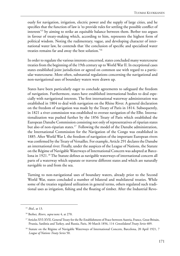ously for navigation, irrigation, electric power and the supply of large cities, and he specifies that the function of law is 'to provide rules for settling the possible conflict of interests'15 by aiming to strike an equitable balance between them. Berber too argues in favour of treaty-making which, according to him, represents the highest form of political wisdom. Noting the rudimentary, vague, and developing character of international water law, he contends that 'the conclusion of specific and specialised water treaties remains far and away the best solution.'16

In order to regulate the various interests concerned, states concluded many watercourse treaties from the beginning of the 19th century up to World War II. In exceptional cases states established joint jurisdiction or agreed on common use with regard to a particular watercourse. More often, substantial regulations concerning the navigational and non-navigational uses of boundary waters were drawn up.

States have been particularly eager to conclude agreements to safeguard the freedom of navigation. Furthermore, states have established international bodies to deal especially with navigational interests. The first international waterway administration was established in 1804 to deal with navigation on the Rhine River. A general declaration on the freedom of navigation was made by the Treaty of Paris in 1814. Subsequently, in 1821 a river commission was established to oversee navigation of the Elbe. Internationalization was pushed further by the 1856 Treaty of Paris which established the European Danube Commission consisting not only of representatives of riparian states but also of non-riparian states.<sup>17</sup> Following the model of the Danube administration, the International Commission for the Navigation of the Congo was established in 1885. After World War I, the freedom of navigation of the important European rivers was confirmed by the Treaty of Versailles. For example, Article 291 declares the Danube an international river. Finally, under the auspices of the League of Nations, the Statute on the Régime of Navigable Waterways of International Concern was adopted at Barcelona in 1921.<sup>18</sup> The Statute defines as navigable waterways of international concern all parts of a waterway which separate or traverse different states and which are naturally navigable to and from the sea.

Turning to non-navigational uses of boundary waters, already prior to the Second World War, states concluded a number of bilateral and multilateral treaties. While some of the treaties regulated utilization in general terms, others regulated such traditional uses as irrigation, fishing and the floating of timber. After the Industrial Revo-

<sup>15</sup> *Ibid.*, at 13.

<sup>16</sup> Berber, *Rivers*, *supra* note 4, at 270.

<sup>&</sup>lt;sup>17</sup> Articles XVI-XVII, General Treaty for the Re-Establishment of Peace between Austria, France, Great Britain, Prussia, Sardinia and Turkey, and Russia, Paris, 30 March 1856, 114 *Consolidated Treaty Series* 409.

<sup>&</sup>lt;sup>18</sup> Statute on the Régime of Navigable Waterways of International Concern, Barcelona, 20 April 1921, 7 *League of Nations Treaty Series* 50.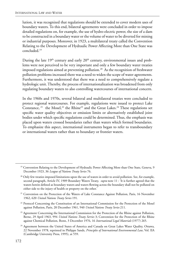lution, it was recognized that regulations should be extended to cover modern uses of boundary waters. To this end, bilateral agreements were concluded in order to impose detailed regulations on, for example, the use of hydro-electric power, the size of a dam to be constructed in a boundary water or the volume of water to be diverted for mining or industrial purposes. Moreover, in 1923, a multilateral treaty called the Convention Relating to the Development of Hydraulic Power Affecting More than One State was concluded.19

During the late 19<sup>th</sup> century and early 20<sup>th</sup> century, environmental issues and problems were not perceived to be very important and only a few boundary water treaties imposed regulations aimed at preventing pollution.<sup>20</sup> As the recognition of freshwater pollution problems increased there was a need to widen the scope of water agreements. Furthermore, it was understood that there was a need to comprehensively regulate a hydrologic unit. Thereby, the process of internationalization was broadened from only regulating boundary waters to also controlling watercourses of international concern.

In the 1960s and 1970s, several bilateral and multilateral treaties were concluded to protect regional watercourses. For example, regulations were issued to protect Lake Constance,  $21$  the Mosel,  $22$  the Rhine<sup>23</sup> and the Great Lakes.  $24$  These regulations set specific water quality objectives or emission limits or alternatively established joint bodies under which specific regulations could be determined. Thus, the emphasis was placed upon waters crossed boundaries rather than waters which formed boundaries. To emphasize this aspect, international instruments began to refer to transboundary or international waters rather than to boundary or frontier waters.

- <sup>22</sup> Protocol Concerning the Constitution of an International Commission for the Protection of the Mosel against Pollution, Paris, 20 December 1961, 940 *United Nations Treaty Series* 211.
- <sup>23</sup> Agreement Concerning the International Commission for the Protection of the Rhine against Pollution, Berne, 29 April 1963, 994 *United Nations Treaty Serries* 3; Convention for the Protection of the Rhine against Chemical Pollution, Bonn, 3 December 1976, 16 *International Legal Materials* (1977) 265.
- <sup>24</sup> Agreement between the United States of America and Canada on Great Lakes Water Quality, Ottawa, 22 November 1978, reprinted in Philippe Sands, *Principles of International Environmental Law*, Vol. IIA (Cambridge University Press, 1995), at 559.

<sup>&</sup>lt;sup>19</sup> Convention Relating to the Development of Hydraulic Power Affecting More than One State, Geneva, 9 December 1923, 36 *League of Nations Treaty Series* 76.

<sup>&</sup>lt;sup>20</sup> Only few treaties imposed limitations upon the use of waters in order to avoid pollution. See, for example, second paragraph, Article IV, 1909 Boundary Waters Treaty, *supra* note 11 : 'It is further agreed that the waters herein defined as boundary waters and waters flowing across the boundary shall not be polluted on either side to the injury of health or property on the other.'

<sup>&</sup>lt;sup>21</sup> Convention on the Protection of the Waters of Lake Constance Against Pollution, Paris, 16 November 1962, 620 *United Nations Treaty Series* 191.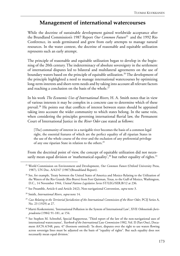## **Management of international watercourses**

While the doctrine of sustainable development gained worldwide acceptance after the Brundland Commission's 1987 Report *Our Common Future*25 and the 1992 Rio Conference, its seeds germinated and grew from early attempts to manage natural resources. In the water context, the doctrine of reasonable and equitable utilization represents such an early attempt.

The principle of reasonable and equitable utilization began to develop in the beginning of the 20th century. The indeterminacy of absolute sovereignty in the settlement of international disputes led to bilateral and multilateral agreements on the use of boundary waters based on the principle of equitable utilization.<sup>26</sup> The development of the principle highlighted a need to manage international watercourses by optimizing long-term interests and short-term needs and by taking into account all relevant factors and reaching a conclusion on the basis of the whole.<sup>27</sup>

In his work *The Economic Uses of International Rivers*, H. A. Smith notes that in view of various interests it may be complex in a concrete case to determine which of these prevail.28 He points out that conflicts of interest between states should be appraised taking into account the wider community to which states belong. In the same vein, when considering the principles governing international fluvial law, the Permanent Court of International Justice in the *River Oder* case stated as follows:

[The] community of interest in a navigable river becomes the basis of a common legal right, the essential features of which are the perfect equality of all riparian States in the use of the whole course of the river and the exclusion of any preferential privilege of any one riparian State in relation to the others.29

From the doctrinal point of view, the concept of equitable utilization did not necessarily mean equal division or 'mathematical equality',<sup>30</sup> but rather equality of rights.<sup>31</sup>

- 28 Smith, *International Rivers*, *supra* note 14.
- <sup>29</sup> *Case Relating to the Territorial Jurisdiction of the International Commission of the River Oder*, PCIJ Series A, No. 23 (1929) at 27.
- 30 Martti Koskenniemi, 'International Pollution in the System of International Law', XVII *Oikeustiede-Jurisprudentia* (1984) 91-181, at 154.

<sup>25</sup> World Commission on Environment and Development, *Our Common Future* (Oxford University Press, 1987), UN Doc. A/42/47 (1987)(Brundtland Report).

<sup>&</sup>lt;sup>26</sup> See, for example, Treaty between the United States of America and Mexico Relating to the Utilization of the Waters of the Rio Grande (Rio Bravo) from Fort Quitman, Texas, to the Gulf of Mexico, Washington, D.C., 14 November 1944, *United Nations Legislative Series* ST/LEG/SER.B/12 at 236.

<sup>27</sup> See Preamble, Article 6 and Article 24(2), Non-navigational Convention, *supra* note 3.

<sup>&</sup>lt;sup>31</sup> See Stephen M. Schwebel, Special Rapporteur, 'Third report of the law of the non-navigational uses of international watercourses', *Yearbook of the International Law Commission* 1982, Vol. II (Part One), Document A/CN.4/348, para. 47 (footnote omitted): 'In short, disputes over the right to use waters flowing across sovereign lines must be adjusted on the basis of "equality of rights". But such equality does not necessarily mean equal division.'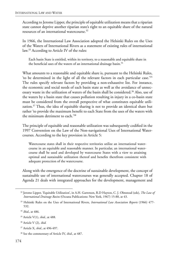According to Jerome Lipper, the principle of equitable utilization means that a riparian state cannot deprive another riparian state's right to an equitable share of the natural resources of an international watercourse.32

In 1966, the International Law Association adopted the Helsinki Rules on the Uses of the Waters of International Rivers as a statement of existing rules of international law.33 According to Article IV of the rules:

Each basin State is entitled, within its territory, to a reasonable and equitable share in the beneficial uses of the waters of an international drainage basin.<sup>34</sup>

What amounts to a reasonable and equitable share is, pursuant to the Helsinki Rules, 'to be determined in the light of all the relevant factors in each particular case.'35 The rules specify relevant factors by providing a non-exhaustive list. For instance, the economic and social needs of each basin state as well as the avoidance of unnecessary waste in the utilization of waters of the basin shall be considered.<sup>36</sup> Also, use of the waters by a basin state that causes pollution resulting in injury in a co-basin state must be considered from the overall perspective of what constitutes equitable utilization.<sup>37</sup> Thus, the idea of equitable sharing is not to provide an identical share but rather 'to provide the maximum benefit to each State from the uses of the waters with the minimum detriment to each.'38

The principle of equitable and reasonable utilization was subsequently codified in the 1997 Convention on the Law of the Non-navigational Uses of International Watercourses. According to the key provision in Article 5:

Watercourse states shall in their respective territories utilize an international watercourse in an equitable and reasonable manner. In particular, an international watercourse shall be used and developed by watercourse States with a view to attaining optimal and sustainable utilization thereof and benefits therefrom consistent with adequate protection of the watercourse.

Along with the emergence of the doctrine of sustainable development, the concept of sustainable use of international watercourses was generally accepted. Chapter 18 of Agenda 21 deals with integrated approaches for the development, management and

- 36 Article V (2), *ibid.*
- 37 Article X, *ibid.*, at 496-497.
- 38 See the commentary of Article IV, *ibid.*, at 487.

<sup>32</sup> Jerome Lipper, 'Equitable Utilization', in A.H. Garretson, R.D Hayton, C. J. Olmstead (eds), *The Law of International Drainage Basins* (Oceana Publications: New York, 1967) 15-88, at 43.

<sup>33</sup> Helsinki Rules on the Uses of International Rivers, *International Law Association Reports* (1966) 477- 532.

<sup>34</sup> *Ibid*., at 486.

<sup>35</sup> Article V(1), *ibid.*, at 488.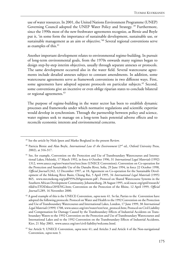use of water resources. In 2001, the United Nations Environment Programme (UNEP) Governing Council adopted the UNEP Water Policy and Strategy.<sup>39</sup> Furthermore, since the 1990s most of the new freshwater agreements recognize, as Birnie and Boyle put it, 'in some form the importance of sustainable development, sustainable use, or sustainable management as an aim or objective.<sup>'40</sup> Several regional conventions serve as examples of this.<sup>41</sup>

Another important development relates to environmental regime-building. In pursuit of long-term environmental goals, from the 1970s onwards many regimes began to design step-by-step interim objectives, usually through separate annexes or protocols. The same development occurred also in the water field. Several watercourse agreements include detailed annexes subject to constant amendments. In addition, some watercourse agreements serve as framework conventions in two different ways. First, some agreements have adopted separate protocols on particular subjects.<sup>42</sup> Second, some conventions give an incentive or even oblige riparian states to conclude bilateral or regional agreements.<sup>43</sup>

The purpose of regime-building in the water sector has been to establish dynamic processes and frameworks under which normative regulations and scientific expertise would develop in synchronism. Through the partnership between policy and science, water regimes seek to manage on a long-term basis potential adverse effects and to reconcile economic interests and environmental concerns.

<sup>&</sup>lt;sup>39</sup> See the article by Niels Ipsen and Marko Berglund in the present Review.

<sup>40</sup> Patricia Birnie and Alan Boyle, *International Law & the Environment* (2nd ed., Oxford Univesity Press, 2002), at 316-317.

<sup>&</sup>lt;sup>41</sup> See, for example, Convention on the Protection and Use of Transboundary Watercourses and International Lakes, Helsinki, 17 March 1992, in force 6 October 1996, 31 *International Legal Materials* (1992) 1312, www.unece.org/env/water/text/text.htm (UNECE Convention); Convention on Co-operation for the Protection and Sustainable Use of the Danube River, Sofia, 29 June 1994, in force 22 October 1998, *Official Journal* L342, 12 December 1997, at 18; Agreement on Co-operation for the Sustainable Development of the Mekong River Basin, Chiang Rai, 5 April 1995, 34 *International Legal Materials* (1995) 865, www.mrcmekong.org/pdf/95%20Agreement.pdf ; Protocol on Shared Watercourse Systems in the Southern African Development Community, Johannesburg, 28 August 1995, ocid.nacse.org/qml/research/ tfdd/toTFDDdocs/205ENG.htm; Convention on the Protection of the Rhine, 12 April 1999, *Official Journal* L289, 16 November 2000.

<sup>42</sup> A good example of this is the UNECE Convention, *supra* note 41. So far, Parties to the Convention have adopted the following protocols: Protocol on Water and Health to the 1992 Convention on the Protection and Use of Transboundary Watercourses and International Lakes, London, 17 June 1999, 38 *International Legal Materials* (1999) 1708, www.unece.org/env/water/text/text\_protocol.htm; Protocol on Civil Liability and Compensation for Damage Caused by the Transboundary Effects of Industrial Accidents on Transboundary Waters to the 1992 Convention on the Protection and Use of Transboundary Watercourses and International Lakes and to the 1992 Convention on the Transboundary Effects of Industrial Accidents, Kiev, 21 May 2003, www.unece.org/env/civil-liability/welcome.html.

<sup>43</sup> See Article 9, UNECE Convention, *supra* note 41; and Articles 3 and Article 4 of the Non-navigational Convention, *supra* note 3.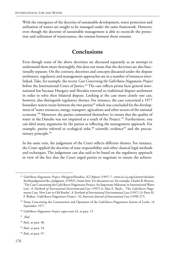With the emergence of the doctrine of sustainable development, water protection and utilization of waters are sought to be managed under the same framework. However, even though the doctrine of sustainable management is able to reconcile the protection and utilization of watercourses, the tension between them remains.

## **Conclusions**

Even though some of the above doctrines are discussed separately as an attempt to understand them more thoroughly, this does not mean that the doctrines are also functionally separate. On the contrary, doctrines and concepts discussed under the dispute settlement, regulatory and management approaches are in a number of instances interlinked. Take, for example, the recent *Case Concerning the Gabčikovo-Nagymaros Project* before the International Court of Justice.<sup>44</sup> The case reflects prima facie general international law because Hungary and Slovakia resorted to traditional dispute settlement in order to solve their bilateral dispute. Looking at the case more closely one can, however, also distinguish regulatory themes. For instance, the case concerned a 1977 boundary waters treaty between the two parties<sup>45</sup> which was concluded for the development of 'water resources, energy, transport, agriculture and other sectors of the national economy.'46 Moreover, the parties committed themselves 'to ensure that the quality of water in the Danube was not impaired as a result of the Project.<sup>247</sup> Furthermore, one can label many arguments by the parties as reflecting the management approach. For example, parties referred to ecological risks,<sup>48</sup> scientific evidence<sup>49</sup> and the precautionary principle.<sup>50</sup>

In the same vein, the judgement of the Court reflects different themes. For instance, the Court applied the doctrine of state responsibility and other classical legal methods and techniques. The judgement can also said to be based on the regulatory approach in view of the fact that the Court urged parties to negotiate to ensure the achieve-

- <sup>49</sup> *Ibid*., at para. 54.
- <sup>50</sup> *Ibid*., at para. 97.

<sup>44</sup> *Gabcˇíkovo-Nagymaros Project (Hungary/Slovakia)*, *ICJ Reports* (1997) 7, www.icj-cij.org/icjwww/idocket/ ihs/ihsjudgement/ihs\_ijudgment\_970925\_frame.htm. For discussion see, for example, Charles B. Bourne, 'The Case Concerning the Gabčíkovo-Nagymaros Project: An Important Milestone in International Water Law', 8 *Yearbook of International Environmental.Law* (1997) 6; Alan E. Boyle., 'The Gabčíkovo-Nagymaros Case: New Law in Old Bottles', 8 *Yearbook of International Environmental.Law* (1997) 13; Peter H. F. Bekker, 'Gabčíkovo-Nagymaros Project', 92 American Journal of International Law (1998) 273.

<sup>&</sup>lt;sup>45</sup> Treaty Concerning the Construction and Operation of the Gabčíkovo-Nagymaros System of Locks, 16 September 1977.

<sup>&</sup>lt;sup>46</sup> Gabčíkovo-Nagymaros Project, supra note 44, at para. 15.

<sup>47</sup> *Ibid*.

<sup>48</sup> *Ibid*., at para. 40.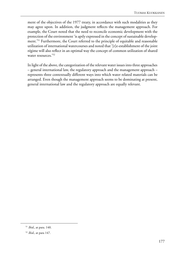ment of the objectives of the 1977 treaty, in accordance with such modalities as they may agree upon. In addition, the judgment reflects the management approach. For example, the Court noted that the need to reconcile economic development with the protection of the environment 'is aptly expressed in the concept of sustainable development.'51 Furthermore, the Court referred to the principle of equitable and reasonable utilization of international watercourses and noted that '[r]e-establishment of the joint régime will also reflect in an optimal way the concept of common utilization of shared water resources.'52

In light of the above, the categorization of the relevant water issues into three approaches – general international law, the regulatory approach and the management approach – represents three contextually different ways into which water related materials can be arranged. Even though the management approach seems to be dominating at present, general international law and the regulatory approach are equally relevant.

<sup>51</sup> *Ibid*., at para. 140.

<sup>52</sup> *Ibid*., at para 147.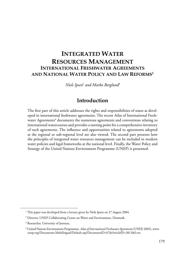# **INTEGRATED WATER RESOURCES MANAGEMENT INTERNATIONAL FRESHWATER AGREEMENTS AND NATIONAL WATER POLICY AND LAW REFORMS1**

*Niels Ipsen*<sup>2</sup>  *and Marko Berglund*<sup>3</sup>

## **Introduction**

The first part of this article addresses the rights and responsibilities of states as developed in international freshwater agreements. The recent Atlas of International Freshwater Agreements<sup>4</sup> documents the numerous agreements and conventions relating to international watercourses and provides a starting point for a comprehensive inventory of such agreements. The influence and opportunities related to agreements adopted at the regional or sub-regional level are also viewed. The second part presents how the principles of integrated water resources management can be included in modern water policies and legal frameworks at the national level. Finally, the Water Policy and Strategy of the United Nations Environment Programme (UNEP) is presented.

<sup>&</sup>lt;sup>1</sup> This paper was developed from a lecture given by Niels Ipsen on 27 August 2004.

<sup>&</sup>lt;sup>2</sup> Director, UNEP Collaborating Centre on Water and Environment, Denmark.

<sup>&</sup>lt;sup>3</sup> Researcher, University of Joensuu.

<sup>4</sup> United Nations Environment Programme, *Atlas of International Freshwater Agreements* (UNEP, 2002), www. unep.org/Documents.Multilingual/Default.asp?DocumentID=67&ArticleID=3813&l=en.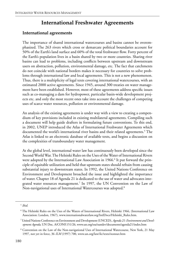# **International Freshwater Agreements**

#### **International agreements**

The importance of shared international watercourses and basins cannot be overemphasized. The 263 rivers which cross or demarcate political boundaries account for 50% of the Earth's land surface and 60% of the total freshwater flow. Forty percent of the Earth's population lives in a basin shared by two or more countries. Sharing river basins can lead to problems, including conflicts between upstream and downstream users on abstraction, pollution, environmental damage, etc. The fact that catchments do not coincide with national borders makes it necessary for countries to solve problems through international law and local agreements. This is not a new phenomenon. Thus, there is a multiplicity of legal texts covering international watercourses, with an estimated 2000 active agreements. Since 1945, around 300 treaties on water management have been established. However, most of these agreements address specific issues such as co-managing a dam for hydropower, particular basin-wide development projects etc. and only the most recent ones take into account the challenges of competing uses of scarce water resources, pollution or environmental damage.

An analysis of the existing agreements is under way with a view to creating a compendium of key provisions included in existing multilateral agreements. Compiling such a document will help guide drafters in formulating future conventions. To this end, in 2002, UNEP introduced the Atlas of International Freshwater Agreements which documented the world's international river basins and their related agreements.<sup>5</sup> The Atlas is linked to an electronic database of available texts, and begins a discussion on the complexities of transboundary water management.

At the global level, international water law has continuously been developed since the Second World War. The Helsinki Rules on the Uses of the Water of International Rivers were adopted by the International Law Association in 1966.<sup>6</sup> It put forward the principle of equitable utilization and held that upstream states should refrain from causing substantial injury to downstream states. In 1992, the United Nations Conference on Environment and Development broached the issue and highlighted the importance of water. Chapter 18 of Agenda 21 is dedicated to the use of water and advocates integrated water resources management.7 In 1997, the UN Convention on the Law of Non-navigational uses of International Watercourses was adopted.<sup>8</sup>

<sup>5</sup> *Ibid.*

<sup>6</sup> The Helsinki Rules on the Uses of the Waters of International Rivers, Helsinki 1966, (International Law Association: London, 1967), www.internationalwaterlaw.org/IntlDocs/Helsinki\_Rules.htm.

<sup>7</sup> United Nations Conference on Environment and Development (UNCED), *Agenda 21: Environment and Development Agenda*, UN Doc. A/CONF.151/26, www.un.org/esa/sustdev/documents/agenda21/index.htm

<sup>8</sup> Convention on the Law of the Non-navigational Uses of International Watercourse, New York, 21 May 1997, not yet in force, 36 *ILM* (1997) 700, www.un.org/law/ilc/texts/nonnav.htm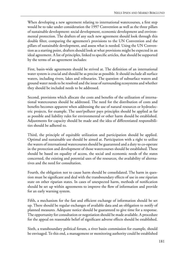When developing a new agreement relating to international watercourses, a first step would be to take under consideration the 1997 Convention as well as the three pillars of sustainable development: social development, economic development and environmental protection. The drafters of any such new agreement should look through this double filter, comparing the agreement's provisions to the UN Convention and the pillars of sustainable development, and assess what is needed. Using the UN Convention as a starting point, drafters should look at what provisions might be expected in an ideal agreement. A list of principles, linked to specific articles, that should be supported by the terms of an agreement includes:

First, basin-wide agreements should be strived at. The definition of an international water system is crucial and should be as precise as possible. It should include all surface waters, including rivers, lakes and tributaries. The question of subsurface waters and ground water needs to be resolved and the issue of surrounding ecosystems and whether they should be included needs to be addressed.

Second, provisions which allocate the costs and benefits of the utilization of international watercourses should be addressed. The need for the distribution of costs and benefits becomes apparent when addressing the use of natural resources or hydroelectric projects, for example. The user/polluter pays principles should be applied as far as possible and liability rules for environmental or other harm should be established. Adjustments for capacity should be made and the idea of differentiated responsibilities should be adhered to.

Third, the principle of equitable utilization and participation should be applied. Optimal and sustainable use should be aimed at. Participation with a right to utilize the waters of international watercourses should be guaranteed and a duty to co-operate in the protection and development of those watercourses should be established. These should be based on equality of access, the social and economic needs of the states concerned, the existing and potential uses of the resources, the availability of alternatives and the need for consultation.

Fourth, the obligation not to cause harm should be consolidated. The harm in question must be significant and deal with the transboundary effects of use in one riparian state on other riparian states. In cases of unexpected harm, methods of notification should be set up within agreements to improve the flow of information and provide for an early warning system.

Fifth, a mechanism for the fast and efficient exchange of information should be set up. There should be regular exchanges of available data and an obligation to notify of planned measures. Adequate notice should be guaranteed to give time for a response. The opportunity for consultation or negotiation should be made available. A procedure for the appeal on reasonable belief of significant adverse effects should be established.

Sixth, a transboundary political forum, a river basin commission for example, should be envisaged. To this end, a management or monitoring authority could be established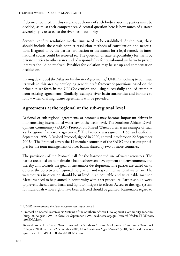if deemed required. In this case, the authority of such bodies over the parties must be decided, as must their competences. A central question here is how much of a state's sovereignty is released to the river basin authority.

Seventh, conflict resolution mechanisms need to be established. At the least, these should include the classic conflict resolution methods of consultation and negotiation. If agreed to by the parties, arbitration or the search for a legal remedy in international courts could be resorted to. The question of state responsibility for harm by private entities to other states and of responsibility for transboundary harm to private interests should be resolved. Penalties for violation may be set up and compensation decided on.

Having developed the Atlas on Freshwater Agreements,<sup>9</sup> UNEP is looking to continue its work in this area by developing generic draft framework provisions based on the principles set forth in the UN Convention and using successfully applied examples from existing agreements. Similarly, example river basin authorities and formats to follow when drafting future agreements will be provided.

#### **Agreements at the regional or the sub-regional level**

Regional or sub-regional agreements or protocols may become important drivers in implementing international water law at the basin level. The Southern African Development Community (SADC) Protocol on Shared Watercourses is an example of such a sub-regional framework agreement.10 The Protocol was signed in 1995 and ratified in September 1998. A Revised Protocol, signed in 2000, entered into force on 22 September 2003.11 The Protocol covers the 14 member countries of the SADC and sets out principles for the joint management of river basins shared by two or more countries.

The provisions of the Protocol call for the harmonized use of water resources. The parties are called on to maintain a balance between development and environment, and thereby aim towards the goal of sustainable development. The parties are called on to observe the objectives of regional integration and respect international water law. The watercourses in question should be utilized in an equitable and sustainable manner. Measures need to be planned in conformity with a set procedure. Parties should work to prevent the causes of harm and fight to mitigate its effects. Access to the legal system for individuals whose rights have been affected should be granted. Reasonable regard to

<sup>9</sup> UNEP, *International Freshwater Agreements*, *supra.* note 4

<sup>&</sup>lt;sup>10</sup> Protocol on Shared Watercourse Systems of the Southern African Development Community, Johannesburg, 28 August 1995, in force 29 September 1998, ocid.nacse.org/qml/research/tfdd/toTFDDdocs/ 205ENG.htm.

<sup>&</sup>lt;sup>11</sup> Revised Protocol on Shared Watercourses of the Southern African Development Community, Windhoek, 7 August 2000, in force 22 September 2003, 40 *International Legal Materials* (2001) 321, ocid.nacse.org/ qml/research/tfdd/toTFDDdocs/208ENG.htm.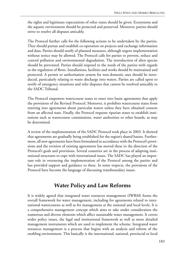the rights and legitimate expectations of other states should be given. Ecosystems and the aquatic environment should be protected and preserved. Moreover, parties should strive to resolve all disputes amicably.

The Protocol further calls for the following actions to be undertaken by the parties. They should pursue and establish co-operation on projects and exchange information and data. Parties should notify of planned measures, although urgent implementation without notice may be allowed. The Protocol calls for parties to prevent, reduce and control pollution and environmental degradation. The introduction of alien species should be prevented. Parties should respond to the needs of the parties with regards to the regulation of flows. Installations, facilities and works should be maintained and protected. A permit or authorisation system for non-domestic uses should be introduced, particularly relating to waste discharge into waters. Parties are called upon to notify of emergency situations and refer disputes that cannot be resolved amicably to the SADC Tribunal.

The Protocol empowers watercourse states to enter into basin agreements that apply the provisions of the Revised Protocol. Moreover, it prohibits watercourse states from entering into agreements about particular waters unless they have obtained consent from an affected state. Finally, the Protocol requests riparian states to establish institutions such as watercourse commissions, water authorities or other boards, as may be determined.

A review of the implementation of the SADC Protocol took place in 2003. It showed that agreements are gradually being established for the region's shared basins. Furthermore, all new agreements have been formulated in accordance with the Protocol's provisions and the revision of existing agreements has moved these in the direction of the Protocol's goals and provisions. Several countries are in the process of adapting institutional structures to cope with international issues. The SADC has played an important role in overseeing the implementation of the Protocol among the parties and has provided support and guidance to these. In some respects, the provisions of the Protocol have become the language of discussing transboundary issues.

# **Water Policy and Law Reforms**

It is widely agreed that integrated water resources management (IWRM) forms the overall framework for water management, including for agreements related to international watercourses as well as for management at the national and local levels. It is a comprehensive management concept which aims to take under consideration the numerous and diverse elements which affect sustainable water management. It covers wider policy issues, the legal and institutional framework as well as more detailed management instruments which are used to implement the scheme. Integrated water resources management is a process that begins with an analysis and reform of the enabling environment. This basically is the international, national, provincial or local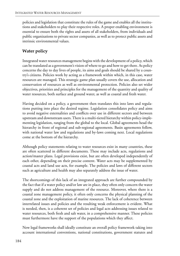policies and legislation that constitute the rules of the game and enables all the institutions and stakeholders to play their respective roles. A proper enabling environment is essential to ensure both the rights and assets of all stakeholders, from individuals and public organizations to private sector companies, as well as to protect public assets and intrinsic environmental values.

#### **Water policy**

Integrated water resources management begins with the development of a policy, which can be translated as a government's vision of where to go and how to get there. As policy concerns the day to day lives of people, its aims and goals should be shared by a country's citizens. Policies work by acting as a framework within which, in this case, water resources are managed. This strategic game plan usually covers the use, allocation and conservation of resources as well as environmental protection. Policies also set wider objectives, priorities and principles for the management of the quantity and quality of water resources, both surface and ground water, as well as coastal and fresh water.

Having decided on a policy, a government then translates this into laws and regulations putting into place the desired regime. Legislation consolidates policy and aims to avoid negative externalities and conflicts over use in different sectors and between upstream and downstream users. There is a multi-tiered hierarchy within policy-implementing legislation, ranging from the global to the local. Global agreements head the hierarchy in front of regional and sub-regional agreements. Basin agreements follow, with national water law and regulations and by-laws coming next. Local regulations come at the bottom of the hierarchy.

Although policy statements relating to water resources exist in many countries, these are often scattered in different documents. These may include acts, regulations and action/master plans. Legal provisions exist, but are often developed independently of each other, depending on their precise content. Water acts may be supplemented by coastal acts and land use acts, for example. The policies and laws of different sectors such as agriculture and health may also separately address the issue of water.

The shortcomings of this lack of an integrated approach are further compounded by the fact that if a water policy and/or law are in place, they often only concern the water supply and do not address management of the resource. Moreover, where there is a coastal zone management policy, it often only concerns the physical planning of the coastal zone and the exploitation of marine resources. The lack of coherence between interrelated issues and policies and the resulting weak enforcement is evident. What is needed, then, is a coherent set of policies and legal acts addressing issues related to water resources, both fresh and salt water, in a comprehensive manner. These policies must furthermore have the support of the populations which they affect.

New legal frameworks shall ideally constitute an overall policy framework taking into account international conventions, national constitutions, government statutes and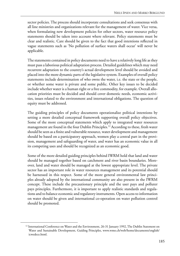sector policies. The process should incorporate consultations and seek consensus with all line ministries and organizations relevant for the management of water. Vice versa, when formulating new development policies for other sectors, water resource policy statements should be taken into account where relevant. Policy statements must be clear and realistic. Care should be given to the fact that good intentions reflected in vague statements such as 'No pollution of surface waters shall occur' will never be applicable.

The statements contained in policy documents need to have a relatively long life as they must pass a laborious political adaptation process. Detailed guidelines which may need recurrent adaptation to the country's actual development level should be avoided and placed into the more dynamic parts of the legislative system. Examples of overall policy statements include determination of who owns the water, i.e. the state or the people, or whether some water is private and some public. Other key issues to be decided include whether water is a human right or a free commodity, for example. Overall allocation priorities must be decided and should cover domestic needs, economic activities, issues related to the environment and international obligations. The question of equity must be addressed.

The guiding principles of policy documents operationalize political intentions by setting a more detailed conceptual framework supporting overall policy objectives. Some of the more conceptual statements which apply to integrated water resources management are found in the four Dublin Principles.12 According to these, fresh water should be seen as a finite and vulnerable resource, water development and management should be based on a participatory approach, women play a central part in the provision, management and safeguarding of water, and water has an economic value in all its competing uses and should be recognized as an economic good.

Some of the more detailed guiding principles behind IWRM hold that land and water should be managed together based on catchment and river basin boundaries. Moreover, land and water should be managed at the lowest appropriate level. The private sector has an important role in water resources management and its potential should be harnessed in this respect. Some of the more general environmental law principles already adopted by the international community are also present in the IWRM concept. These include the precautionary principle and the user pays and polluter pays principles. Furthermore, it is important to apply realistic standards and regulations and to balance economic and regulatory instruments. Open access to information on water should be given and international co-operation on water pollution control should be promoted.

<sup>&</sup>lt;sup>12</sup> International Conference on Water and the Environment, 26-31 January 1992, The Dublin Statement on Water and Sustainable Development, Guiding Principles, www.wmo.ch/web/homs/documents/english/ icwedece.html.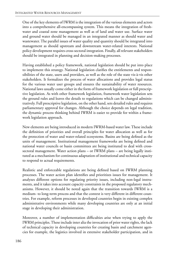One of the key elements of IWRM is the integration of the various elements and actors into a comprehensive all-encompassing system. This means the integration of freshwater and coastal zone management as well as of land and water use. Surface water and ground water should be managed in an integrated manner as should water and wastewater. The parallel issues of water quality and quantity should be integrated into management as should upstream and downstream water-related interests. National policy development requires cross-sectoral integration. Finally, all relevant stakeholders should be integrated in planning and decision-making processes.

Having established a policy framework, national legislation should be put into place to implement this strategy. National legislation clarifies the entitlements and responsibilities of the state, users and providers, as well as the role of the state vis-à-vis other stakeholders. It formalizes the process of water allocations and provides legal status for the various water user groups and ensures the sustainability of water resources. National laws usually come either in the form of framework legislation or full prescriptive legislation. As with other framework legislation, framework water legislation sets the ground rules and leaves the details to regulations which can be changed administratively. Full prescriptive legislation, on the other hand, sets detailed rules and requires parliamentary approval for changes. Although the choice depends on legal tradition, the dynamic process thinking behind IWRM is easier to provide for within a framework legislation approach.

New elements are being introduced in modern IWRM-based water law. These include the definition of priorities and overall principles for water allocation as well as for the protection of water and water-related ecosystems. Basins are being defined as the units of management. Institutional management frameworks are being defined and national water councils or basin committees are being instituted to deal with crosssectoral management. Water action plans – or IWRM plans – are being legally instituted as a mechanism for continuous adaptation of institutional and technical capacity to respond to actual requirements.

Realistic and enforceable regulations are being defined based on IWRM planning processes. The water action plan identifies and prioritizes issues for management. It analyzes different options for regulating priority issues, including non-legal instruments, and it takes into account capacity constraints in the proposed regulatory mechanisms. However, it should be noted again that the transition towards IWRM is a medium- to long-term process and that the context is very different in different countries. For example, reform processes in developed countries begin in existing complex administrative environments while many developing countries are only at an initial stage in developing their administration.

Moreover, a number of implementation difficulties arise when trying to apply the IWRM principles. These include inter alia the invocation of prior water rights, the lack of technical capacity in developing countries for creating basin and catchment agencies for example, the logistics involved in extensive stakeholder participation, and in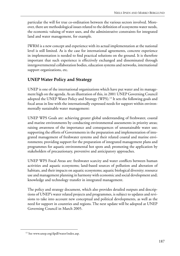particular the will for true co-ordination between the various sectors involved. Moreover, there are methodological issues related to the definition of ecosystems water needs, the economic valuing of water uses, and the administrative constraints for integrated land and water management, for example.

IWRM is a new concept and experience with its actual implementation at the national level is still limited. As is the case for international agreements, concrete experience in implementation is needed to find practical solutions on the ground. It is therefore important that such experience is effectively exchanged and disseminated through intergovernmental collaboration bodies, education systems and networks, international support organizations, etc.

## **UNEP Water Policy and Strategy**

UNEP is one of the international organizations which have put water and its management high on the agenda. As an illustration of this, in 2001 UNEP Governing Council adopted the UNEP Water Policy and Strategy (WPS).<sup>13</sup> It sets the following goals and focal areas in line with the internationally expressed needs for support within environmentally sustainable water management:

UNEP WPS Goals are: achieving greater global understanding of freshwater, coastal and marine environments by conducting environmental assessments in priority areas; raising awareness of the importance and consequences of unsustainable water use; supporting the efforts of Governments in the preparation and implementation of integrated management of freshwater systems and their related coastal and marine environments; providing support for the preparation of integrated management plans and programmes for aquatic environmental hot spots and; promoting the application by stakeholders of precautionary, preventive and anticipatory approaches.

UNEP WPS Focal Areas are: freshwater scarcity and water conflicts between human activities and aquatic ecosystems; land-based sources of pollution and alteration of habitats, and their impacts on aquatic ecosystems; aquatic biological diversity; resource use and management planning in harmony with economic and social development and; knowledge and technology transfer in integrated management.

The policy and strategy document, which also provides detailed outputs and descriptions of UNEP's water related projects and programmes, is subject to updates and revisions to take into account new conceptual and political developments, as well as the need for support in countries and regions. The next update will be adopted at UNEP Governing Council in March 2005.

<sup>&</sup>lt;sup>13</sup> See www.unep.org/dpdl/water/index.asp.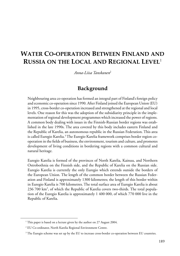# **WATER CO-OPERATION BETWEEN FINLAND AND RUSSIA ON THE LOCAL AND REGIONAL LEVEL**<sup>1</sup>

*Anna-Liisa Tanskanen*<sup>2</sup>

## **Background**

Neighbouring area co-operation has formed an integral part of Finland's foreign policy and economic co-operation since 1990. After Finland joined the European Union (EU) in 1995, cross-border co-operation increased and strengthened at the regional and local levels. One reason for this was the adoption of the subsidiarity principle in the implementation of regional development programmes which increased the power of regions. A common body dealing with issues in the Finnish-Russian border regions was established in the late 1990s. The area covered by this body includes eastern Finland and the Republic of Karelia, an autonomous republic in the Russian Federation. This area is called Euregio Karelia.<sup>3</sup> The Euregio Karelia framework comprises border region cooperation in the fields of business, the environment, tourism and culture, and promotes development of living conditions in bordering regions with a common cultural and natural heritage.

Euregio Karelia is formed of the provinces of North Karelia, Kainuu, and Northern Ostrobothnia on the Finnish side, and the Republic of Karelia on the Russian side. Euregio Karelia is currently the only Euregio which extends outside the borders of the European Union. The length of the common border between the Russian Federation and Finland is approximately 1300 kilometres; the length of this border within in Euregio Karelia is 700 kilometres. The total surface area of Euregio Karelia is about 236 700 km2 , of which the Republic of Karelia covers two-thirds. The total population of the Euregio Karelia is approximately 1 400 000, of which 770 000 live in the Republic of Karelia.

<sup>&</sup>lt;sup>1</sup> This paper is based on a lecture given by the author on 27 August 2004.

<sup>2</sup> EU Co-ordinator, North Karelia Regional Environment Centre.

<sup>&</sup>lt;sup>3</sup> The Euregio scheme was set up by the EU to increase cross-border co-operation between EU countries.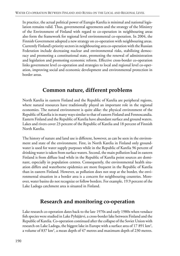In practice, the actual political power of Euregio Karelia is minimal and national legislation remains valid. Thus, governmental agreements and the strategy of the Ministry of the Environment of Finland with regard to co-operation in neighbouring areas also form the framework for regional level environmental co-operation. In 2004, the Finnish Government adopted a new strategy on co-operation with neighbouring areas. Currently Finland's priority sectors in neighbouring area co-operation with the Russian Federation include decreasing nuclear and environmental risks, stabilizing democracy and promoting a constitutional state, promoting the renewal of administration and legislation and promoting economic reform. Effective cross-border co-operation links government level co-operation and strategies to local and regional level co-operation, improving social and economic development and environmental protection in border areas.

## **Common nature, different problems**

North Karelia in eastern Finland and the Republic of Karelia are peripheral regions, where natural resources have traditionally played an important role in the regional economies. The natural environment is quite alike: the physical environment of the Republic of Karelia is in many ways similar to that of eastern Finland and Fennoscandia. Eastern Finland and the Republic of Karelia have abundant surface and ground waters. Lakes and rivers cover 23 percent of the Republic of Karelia and 18 percent of Finnish North Karelia.

The history of nature and land use is different, however, as can be seen in the environment and state of the environment. First, in North Karelia in Finland only groundwater is used for water supply purposes while in the Republic of Karelia 96 percent of drinking water is taken from surface waters. Second, the main pollution load in eastern Finland is from diffuse load while in the Republic of Karelia point sources are dominant, especially in population centres. Consequently, the environmental health situation differs and waterborne epidemics are more frequent in the Republic of Karelia than in eastern Finland. However, as pollution does not stop at the border, the environmental situation in a border area is a concern for neighbouring countries. Moreover, water basins do not recognize or follow borders. For example, 19.9 percent of the Lake Ladoga catchment area is situated in Finland.

## **Research and monitoring co-operation**

Lake research co-operation dates back to the late 1970s and early 1980s when vendace fish species were studied in Lake Pyhäjärvi, a cross-border lake between Finland and the Republic of Karelia. Co-operation continued after the collapse of the Soviet Union with research on Lake Ladoga, the biggest lake in Europe with a surface area of 17 891 km<sup>2</sup>, a volume of 837 km<sup>3</sup>, a mean depth of 47 metres and maximum depth of 230 metres.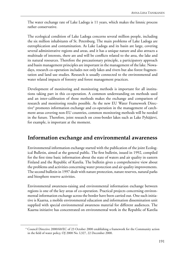The water exchange rate of Lake Ladoga is 11 years, which makes the limnic process rather conservative.

The ecological condition of Lake Ladoga concerns several million people, including the six million inhabitants of St. Petersburg. The main problems of Lake Ladoga are eutrophication and contamination. As Lake Ladoga and its basin are large, covering several administrative regions and areas, and it has a unique nature and also attracts a multitude of interests, there are and will be conflicts related to the area, the lake and its natural resources. Therefore the precautionary principle, a participatory approach and basin management principles are important in the management of the lake. Nowadays, research co-operation includes not only lakes and rivers but also forest fragmentation and land use studies. Research is usually connected to the environmental and water related impacts of forestry and forest management practices.

Development of monitoring and monitoring methods is important for all institutions taking part in this co-operation. A common understanding on methods used and an inter-calibration of those methods makes the exchange and comparison of research and monitoring results possible. As the new EU Water Framework Directive<sup>4</sup> promotes information exchange and co-operation in the management of catchment areas covering non-EU countries, common monitoring methods will be needed in the future. Therefore, joint research on cross-border lakes such as Lake Pyhäjärvi, for example, is important at the moment.

# **Information exchange and environmental awareness**

Environmental information exchange started with the publication of the joint Ecological Bulletin, aimed at the general public. The first bulletin, issued in 1992, compiled for the first time basic information about the state of waters and air quality in eastern Finland and the Republic of Karelia. The bulletin gives a comprehensive view about the problems and activities concerning water protection and air quality improvements. The second bulletin in 1997 dealt with nature protection, nature reserves, natural parks and biosphere reserve activities.

Environmental awareness-raising and environmental information exchange between regions is one of the key areas of co-operation. Practical projects concerning environmental information exchange across the border have been carried out. One such initiative is Kaarna, a mobile environmental education and information dissemination unit supplied with special environmental awareness material for different audiences. The Kaarna initiative has concentrated on environmental work in the Republic of Karelia

<sup>4</sup> Council Directive 2000/60/EC of 23 October 2000 establishing a framework for the Community action in the field of water policy, OJ 2000 No. L327, 22 December 2000.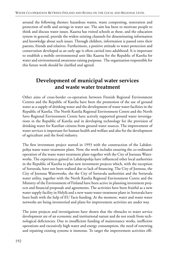around the following themes: hazardous wastes, waste composting, restoration and protection of wells and savings in water use. The aim has been to motivate people to think and discuss water issues. Kaarna has visited schools as these, and the education system in general, provide the widest existing channels for disseminating information and knowledge about such issues. Through children, information is passed onto their parents, friends and relatives. Furthermore, a positive attitude to water protection and conservation developed at an early age is often carried into adulthood. It is important to establish a mobile environmental unit like Kaarna for the Republic of Karelia for water and environmental awareness-raising purposes. The organization responsible for this future work should be clarified and agreed.

# **Development of municipal water services and waste water treatment**

Other aims of cross-border co-operation between Finnish Regional Environment Centres and the Republic of Karelia have been the promotion of the use of ground water as a supply of drinking water and the development of waste water facilities in the Republic of Karelia. The North Karelia Regional Environment Centre and the North Savo Regional Environment Centre have actively supported ground water investigations in the Republic of Karelia and in developing technology for the provision of drinking water for Karelian citizens from ground water sources. The improvement of water services is important for human health and welfare and also for the development of agriculture and the food industry.

The first investment project started in 1993 with the construction of the Lahdenpohja waste water treatment plant. Now, the work includes ensuring the co-ordinated operation of the waste water treatment plant together with the City of Joensuu Waterworks. The experiences gained in Lahdenpohja have influenced other local authorities in the Republic of Karelia to plan new investment projects which, with the exception of Sortavala, have not been realized due to lack of financing. The City of Joensuu, the City of Joensuu Waterworks, the the City of Sortavala authorities and the Sortavala water utility, together with the North Karelia Regional Environment Centre and the Ministry of the Environment of Finland have been active in planning investment projects and financial proposals and agreements. The activities have been fruitful as a new water supply facility in Helylä and a new waste water treatment plant in Sortavala have been built with the help of EU Tacis funding. At the moment, water and waste water networks are being inventoried and plans for improvement activities are under way.

The joint projects and investigations have shown that the obstacles to water service development are of an economic and institutional nature and do not result from technological deficiencies. Due to insufficient funding of maintenance works, inefficient operations and excessively high water and energy consumption, the need of renewing and repairing existing systems is immense. To target the improvement activities effi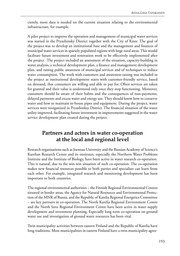ciently, more data is needed on the current situation relating to the environmental infrastructure, for example.

A pilot project to improve the operation and management of municipal water services was started in the Pryazhinsky District together with the City of Kitee. The goal of the project was to develop an institutional base and the management and finances of municipal water services in sparsely populated regions with large rural areas. This would facilitate future investment and renovation work to be effectively implemented after the project. The project included an assessment of the situation, capacity-building in water analysis, a technical development plan, a finance and management development plan, and raising public awareness of municipal services and of techniques to reduce water consumption. The work with customers and awareness-raising was included in the project as institutional development starts with customer-friendly service, based on demand, that consumers are willing and able to pay for. Often services are taken for granted and their value is understood only once they stop functioning. Moreover, customers should be aware of their habits and the consequences of non-payments, delayed payments and excess water and energy use. They should know how to conserve water and how to maintain in-house pipes and equipment. During the project, water services were reorganized in Pryazhinksy District. The financial situation of the water utility improved, facilitating future investment in improvements suggested in the water service development plan created during the project.

# **Partners and actors in water co-operation at the local and regional level**

Research organisations such as Joensuu University and the Russian Academy of Science's Karelian Research Centre and its institutes, especially the Northern Water Problems Institute and the Institute of Biology, have been active in water research co-operation. This is natural, due to the win-win situation of such co-operation. The co-operation makes new financial resources possible to both parties and specialists can learn from each other. For example, integrated research and monitoring development has been important to both countries.

The regional environmental authorities – the Finnish Regional Environmental Centres situated in border areas, the Agency for Natural Resources and Environmental Protection of the MNR of Russia, and the Republic of Karelia Regional Energetics Committee – are key partners in co-operation. The North Karelia Regional Environment Centre and the North Savo Regional Environment Centre have been active in water supply development and investment planning. Especially long term co-operation on ground water use and investigation of ground water resources has been vital.

Twin municipality activities between eastern Finland and the Republic of Karelia have long traditions. Most municipalities in eastern Finland have a twin municipality agree-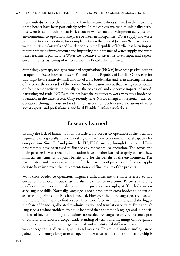ment with districts of the Republic of Karelia. Municipalities situated in the proximity of the border have been particularly active. In the early years, twin municipality activities were based on cultural activities, but now also social development activities and environmental co-operation take place between municipalities. Water supply and waste water utilities co-operation, for example, between the City of Joensuu Waterworks and water utilities in Sortavala and Lahdenpohja in the Republic of Karelia, has been important for renewing infrastructure and improving maintenance of water supply and waste water treatment plants. The Water Co-operative of Kitee has given input and experience in the restructuring of water services in Pryazhinksy District.

Surprisingly perhaps, non-governmental organisations (NGOs) have been passive in water co-operation issues between eastern Finland and the Republic of Karelia. One reason for this might be the relatively small amount of cross-border lakes and rivers affecting the state of waters on the other side of the border. Another reason may be that having concentrated on forest sector activities, especially on the ecological and economic impacts of woodharvesting and trade, NGOs might not have the resources to work with cross-border cooperation in the water sector. Only recently have NGOs emerged in regional water cooperation, through labour and trade union associations, voluntary associations of water sector experts and professionals, and local Finnish-Russian associations.

## **Lessons learned**

Usually the lack of financing is an obstacle cross-border co-operation at the local and regional level, especially in peripheral regions with low economic or social capacity for co-operation. Since Finland joined the EU, EU financing through Interreg and Tacis programmes have been used to finance environmental co-operation. The actors and main partners in water sector co-operation have together learned to apply and use these financial instruments for joint benefit and for the benefit of the environment. The participative and co-operative models for the planning of projects and financial applications have improved the implementation and final results of the projects.

With cross-border co-operation, language difficulties are the most referred to and encountered problems, but these are also the easiest to overcome. Partners need only to allocate resources to translation and interpretation or employ staff with the necessary language skills. Normally, language is not a problem in cross-border co-operation as far as only Finnish or Russian is needed. However, the more languages are needed, the more difficult it is to find a specialized workforce or interpreters, and the bigger the share of financing allocated to administration and translation services. Even though language is a minor problem, it should be noted that a common language and joint definitions of key terminology and actions are needed. As language only represents a part of cultural differences, a deeper understanding of terms and meanings can be gained by understanding cultural, organisational and institutional differences and inherited ways of negotiating, discussing, acting and working. This mutual understanding can be gained only through long-term co-operation. A sustainable and strong partnership is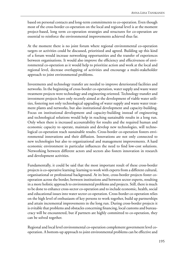based on personal contacts and long-term commitments to co-operation. Even though most of the cross-border co-operation on the local and regional level is at the moment project-based, long term co-operation strategies and structures for co-operation are essential to reinforce the environmental improvements achieved thus far.

At the moment there is no joint forum where regional environmental co-operation targets or activities could be discussed, prioritized and agreed. Building up this kind of a forum would increase networking opportunities and the transfer of experiences between organisations. It would also improve the efficiency and effectiveness of environmental co-operation as it would help to prioritize action and work at the local and regional level, decrease overlapping of activities and encourage a multi-stakeholder approach to joint environmental problems.

Investments and technology transfer are needed to improve deteriorated facilities and networks. In the beginning of cross-border co-operation, water supply and waste water treatment projects were technology and engineering oriented. Technology transfer and investment projects have only recently aimed at the development of viable water utilities, fostering not only technological upgrading of water supply and waste water treatment plants and networks, but also institutional development and capacity-building. Focus on institutional development and capacity-building instead of engineering and technological solutions would help in reaching sustainable results in a long run. Only when there is increased accountability for results and the required human and economic capacity to operate, maintain and develop new technologies, will technological co-operation reach sustainable results. Cross-border co-operation fosters environmental innovations and their diffusion. Innovations are not only connected to new technologies but also to organizational and management improvements. A hard economic environment in particular influences the need to find low-cost solutions. Networking between different actors and sectors also fosters innovation in research and development activities.

Fundamentally, it could be said that the most important result of these cross-border projects is co-operative learning: learning to work with experts from a different cultural, organisational or professional background. At its best, cross-border projects foster cooperation across the border, between institutions and between sector experts, resulting in a more holistic approach to environmental problems and projects. Still, there is much to be done to enhance cross-sector co-operation and to include economic, health, social and educational issues into water sector co-operation. Cross-border co-operation relies on the high level of enthusiasm of key persons to work together, build up partnerships and attain incremental improvements in the long run. During cross-border projects it is evitable that problems and obstacles concerning financing, local customs and bureaucracy will be encountered, but if partners are highly committed to co-operation, they can be solved together.

Regional and local level environmental co-operation complement government level cooperation. A bottom-up approach to joint environmental problems can be effective and